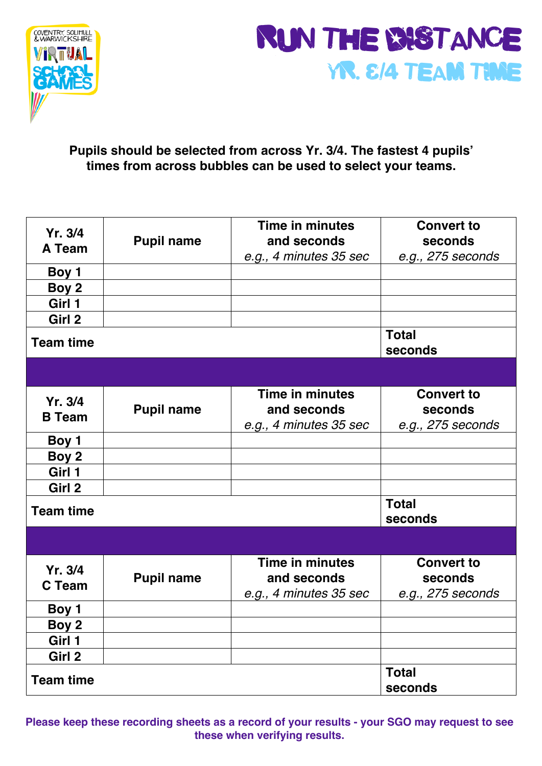



## **Pupils should be selected from across Yr. 3/4. The fastest 4 pupils' times from across bubbles can be used to select your teams.**

| Yr. 3/4<br>A Team | <b>Pupil name</b> | Time in minutes<br>and seconds<br>e.g., 4 minutes 35 sec | <b>Convert to</b><br>seconds<br>e.g., 275 seconds |
|-------------------|-------------------|----------------------------------------------------------|---------------------------------------------------|
| Boy 1             |                   |                                                          |                                                   |
| Boy 2             |                   |                                                          |                                                   |
| Girl 1            |                   |                                                          |                                                   |
| Girl 2            |                   |                                                          |                                                   |
| <b>Team time</b>  |                   |                                                          | <b>Total</b><br>seconds                           |
|                   |                   |                                                          |                                                   |
| Yr. 3/4           |                   | Time in minutes                                          | <b>Convert to</b>                                 |
| <b>B</b> Team     | <b>Pupil name</b> | and seconds                                              | seconds                                           |
|                   |                   | e.g., 4 minutes 35 sec                                   | e.g., 275 seconds                                 |
| Boy 1             |                   |                                                          |                                                   |
| Boy 2             |                   |                                                          |                                                   |
| Girl 1            |                   |                                                          |                                                   |
| Girl 2            |                   |                                                          |                                                   |
| <b>Team time</b>  |                   |                                                          | <b>Total</b>                                      |
|                   |                   |                                                          | seconds                                           |
|                   |                   |                                                          |                                                   |
| Yr. 3/4           |                   | Time in minutes                                          | <b>Convert to</b>                                 |
| <b>C</b> Team     | <b>Pupil name</b> | and seconds                                              | seconds                                           |
|                   |                   | e.g., 4 minutes 35 sec                                   | e.g., 275 seconds                                 |
| Boy 1             |                   |                                                          |                                                   |
| Boy 2             |                   |                                                          |                                                   |
| Girl 1            |                   |                                                          |                                                   |
| Girl 2            |                   |                                                          |                                                   |
| <b>Team time</b>  |                   |                                                          | <b>Total</b><br>seconds                           |

**Please keep these recording sheets as a record of your results - your SGO may request to see these when verifying results.**